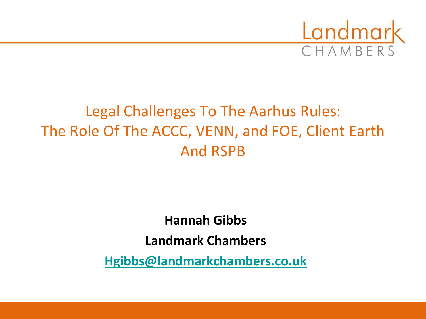

#### Legal Challenges To The Aarhus Rules: The Role Of The ACCC, VENN, and FOE, Client Earth And RSPB

**Hannah Gibbs Landmark Chambers [Hgibbs@landmarkchambers.co.uk](mailto:Hgibbs@landmarkchambers.co.uk)**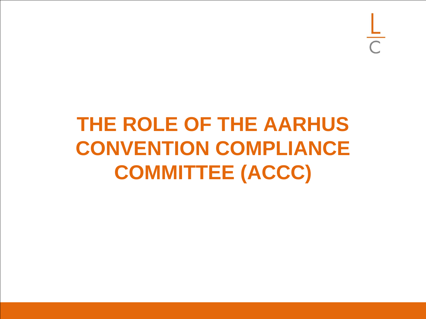## **THE ROLE OF THE AARHUS CONVENTION COMPLIANCE COMMITTEE (ACCC)**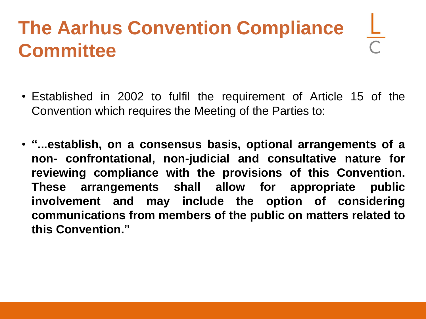### **The Aarhus Convention Compliance Committee**

- Established in 2002 to fulfil the requirement of Article 15 of the Convention which requires the Meeting of the Parties to:
- **"...establish, on a consensus basis, optional arrangements of a non- confrontational, non-judicial and consultative nature for reviewing compliance with the provisions of this Convention. These arrangements shall allow for appropriate public involvement and may include the option of considering communications from members of the public on matters related to this Convention."**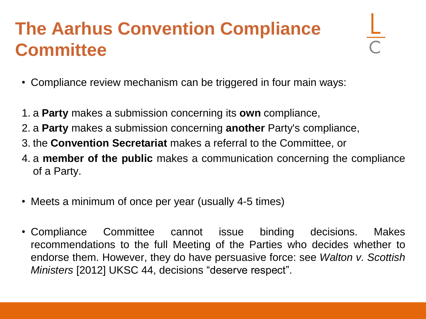#### **The Aarhus Convention Compliance Committee**

- 
- Compliance review mechanism can be triggered in four main ways:
- 1. a **Party** makes a submission concerning its **own** compliance,
- 2. a **Party** makes a submission concerning **another** Party's compliance,
- 3. the **Convention Secretariat** makes a referral to the Committee, or
- 4. a **member of the public** makes a communication concerning the compliance of a Party.
- Meets a minimum of once per year (usually 4-5 times)
- Compliance Committee cannot issue binding decisions. Makes recommendations to the full Meeting of the Parties who decides whether to endorse them. However, they do have persuasive force: see *Walton v. Scottish Ministers* [2012] UKSC 44, decisions "deserve respect".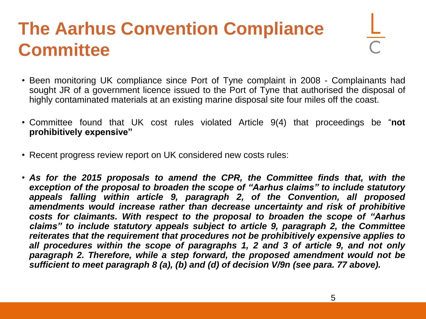#### **The Aarhus Convention Compliance Committee**

- Been monitoring UK compliance since Port of Tyne complaint in 2008 Complainants had sought JR of a government licence issued to the Port of Tyne that authorised the disposal of highly contaminated materials at an existing marine disposal site four miles off the coast.
- Committee found that UK cost rules violated Article 9(4) that proceedings be "**not prohibitively expensive"**
- Recent progress review report on UK considered new costs rules:
- *As for the 2015 proposals to amend the CPR, the Committee finds that, with the exception of the proposal to broaden the scope of "Aarhus claims" to include statutory appeals falling within article 9, paragraph 2, of the Convention, all proposed amendments would increase rather than decrease uncertainty and risk of prohibitive costs for claimants. With respect to the proposal to broaden the scope of "Aarhus claims" to include statutory appeals subject to article 9, paragraph 2, the Committee reiterates that the requirement that procedures not be prohibitively expensive applies to all procedures within the scope of paragraphs 1, 2 and 3 of article 9, and not only paragraph 2. Therefore, while a step forward, the proposed amendment would not be sufficient to meet paragraph 8 (a), (b) and (d) of decision V/9n (see para. 77 above).*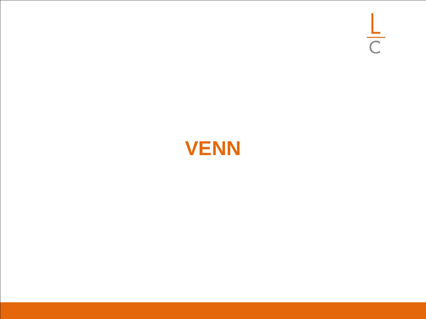$rac{L}{C}$ 

#### **VENN**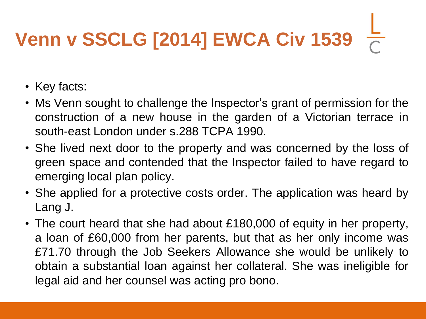# **Venn v SSCLG [2014] EWCA Civ 1539**

- Key facts:
- Ms Venn sought to challenge the Inspector's grant of permission for the construction of a new house in the garden of a Victorian terrace in south-east London under s.288 TCPA 1990.
- She lived next door to the property and was concerned by the loss of green space and contended that the Inspector failed to have regard to emerging local plan policy.
- She applied for a protective costs order. The application was heard by Lang J.
- The court heard that she had about £180,000 of equity in her property, a loan of £60,000 from her parents, but that as her only income was £71.70 through the Job Seekers Allowance she would be unlikely to obtain a substantial loan against her collateral. She was ineligible for legal aid and her counsel was acting pro bono.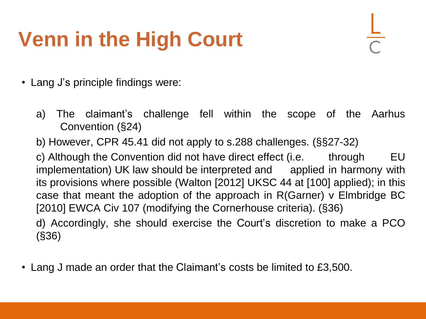## **Venn in the High Court**

- Lang J's principle findings were:
	- a) The claimant's challenge fell within the scope of the Aarhus Convention (§24)
	- b) However, CPR 45.41 did not apply to s.288 challenges. (§§27-32)

c) Although the Convention did not have direct effect (i.e. through EU implementation) UK law should be interpreted and applied in harmony with its provisions where possible (Walton [2012] UKSC 44 at [100] applied); in this case that meant the adoption of the approach in R(Garner) v Elmbridge BC [2010] EWCA Civ 107 (modifying the Cornerhouse criteria). (§36)

d) Accordingly, she should exercise the Court's discretion to make a PCO (§36)

• Lang J made an order that the Claimant's costs be limited to £3,500.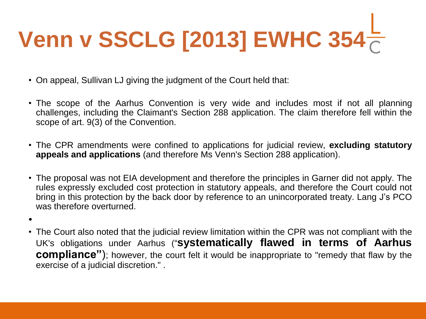# **Venn v SSCLG [2013] EWHC 354**

- On appeal, Sullivan LJ giving the judgment of the Court held that:
- The scope of the Aarhus Convention is very wide and includes most if not all planning challenges, including the Claimant's Section 288 application. The claim therefore fell within the scope of art. 9(3) of the Convention.
- The CPR amendments were confined to applications for judicial review, **excluding statutory appeals and applications** (and therefore Ms Venn's Section 288 application).
- The proposal was not EIA development and therefore the principles in Garner did not apply. The rules expressly excluded cost protection in statutory appeals, and therefore the Court could not bring in this protection by the back door by reference to an unincorporated treaty. Lang J's PCO was therefore overturned.
- •
- The Court also noted that the judicial review limitation within the CPR was not compliant with the UK's obligations under Aarhus ("**systematically flawed in terms of Aarhus compliance**"); however, the court felt it would be inappropriate to "remedy that flaw by the exercise of a judicial discretion." .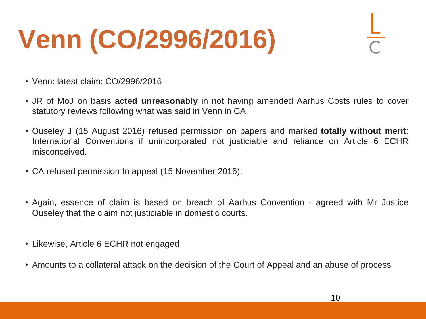# **Venn (CO/2996/2016)**

- Venn: latest claim: CO/2996/2016
- JR of MoJ on basis **acted unreasonably** in not having amended Aarhus Costs rules to cover statutory reviews following what was said in Venn in CA.
- Ouseley J (15 August 2016) refused permission on papers and marked **totally without merit**: International Conventions if unincorporated not justiciable and reliance on Article 6 ECHR misconceived.
- CA refused permission to appeal (15 November 2016):
- Again, essence of claim is based on breach of Aarhus Convention agreed with Mr Justice Ouseley that the claim not justiciable in domestic courts.
- Likewise, Article 6 ECHR not engaged
- Amounts to a collateral attack on the decision of the Court of Appeal and an abuse of process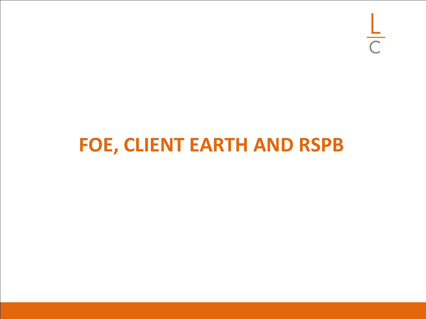$\frac{1}{C}$ 

### **FOE, CLIENT EARTH AND RSPB**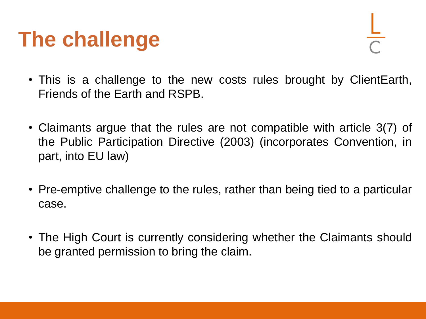## **The challenge**

- This is a challenge to the new costs rules brought by ClientEarth, Friends of the Earth and RSPB.
- Claimants argue that the rules are not compatible with article 3(7) of the Public Participation Directive (2003) (incorporates Convention, in part, into EU law)
- Pre-emptive challenge to the rules, rather than being tied to a particular case.
- The High Court is currently considering whether the Claimants should be granted permission to bring the claim.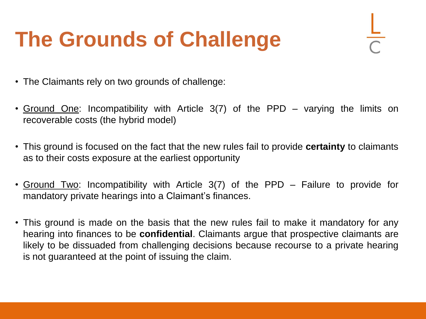## **The Grounds of Challenge**

- The Claimants rely on two grounds of challenge:
- Ground One: Incompatibility with Article 3(7) of the PPD varying the limits on recoverable costs (the hybrid model)
- This ground is focused on the fact that the new rules fail to provide **certainty** to claimants as to their costs exposure at the earliest opportunity
- Ground Two: Incompatibility with Article 3(7) of the PPD Failure to provide for mandatory private hearings into a Claimant's finances.
- This ground is made on the basis that the new rules fail to make it mandatory for any hearing into finances to be **confidential**. Claimants argue that prospective claimants are likely to be dissuaded from challenging decisions because recourse to a private hearing is not guaranteed at the point of issuing the claim.